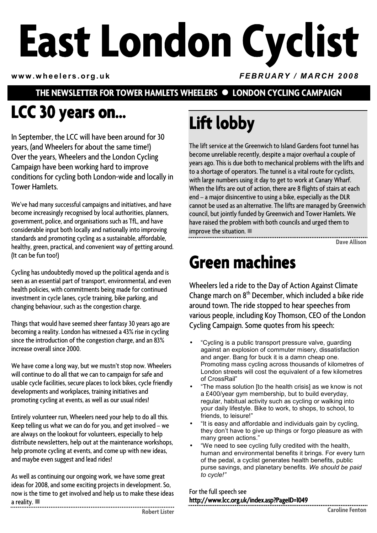# **East London Cyclist**

**www.wheelers.org.uk** *FEBRUARY / MARCH 2008*

#### **THE NEWSLETTER FOR TOWER HAMLETS WHEELERS • LONDON CYCLING CAMPAIGN**

# LCC 30 years on...

In September, the LCC will have been around for 30 years, (and Wheelers for about the same time!) Over the years, Wheelers and the London Cycling Campaign have been working hard to improve conditions for cycling both London-wide and locally in Tower Hamlets.

We've had many successful campaigns and initiatives, and have become increasingly recognised by local authorities, planners, government, police, and organisations such as TfL, and have considerable input both locally and nationally into improving standards and promoting cycling as a sustainable, affordable, healthy, green, practical, and convenient way of getting around. (It can be fun too!)

Cycling has undoubtedly moved up the political agenda and is seen as an essential part of transport, environmental, and even health policies, with commitments being made for continued investment in cycle lanes, cycle training, bike parking, and changing behaviour, such as the congestion charge.

Things that would have seemed sheer fantasy 30 years ago are becoming a reality. London has witnessed a 43% rise in cycling since the introduction of the congestion charge, and an 83% increase overall since 2000.

We have come a long way, but we mustn't stop now. Wheelers will continue to do all that we can to campaign for safe and usable cycle facilities, secure places to lock bikes, cycle friendly developments and workplaces, training initiatives and promoting cycling at events, as well as our usual rides!

Entirely volunteer run, Wheelers need your help to do all this. Keep telling us what we can do for you, and get involved – we are always on the lookout for volunteers, especially to help distribute newsletters, help out at the maintenance workshops, help promote cycling at events, and come up with new ideas, and maybe even suggest and lead rides!

As well as continuing our ongoing work, we have some great ideas for 2008, and some exciting projects in development. So, now is the time to get involved and help us to make these ideas a reality.  $\blacksquare$ 

# Lift lobby

The lift service at the Greenwich to Island Gardens foot tunnel has become unreliable recently, despite a major overhaul a couple of years ago. This is due both to mechanical problems with the lifts and to a shortage of operators. The tunnel is a vital route for cyclists, with large numbers using it day to get to work at Canary Wharf. When the lifts are out of action, there are 8 flights of stairs at each end – a major disincentive to using a bike, especially as the DLR cannot be used as an alternative. The lifts are managed by Greenwich council, but jointly funded by Greenwich and Tower Hamlets. We have raised the problem with both councils and urged them to improve the situation.  $\blacksquare$ 

**Dave Allison** 

## **Green machines Green machines**

Wheelers led a ride to the Day of Action Against Climate Change march on 8th December, which included a bike ride around town. The ride stopped to hear speeches from various people, including Koy Thomson, CEO of the London Cycling Campaign. Some quotes from his speech:

- "Cycling is a public transport pressure valve, guarding against an explosion of commuter misery, dissatisfaction and anger. Bang for buck it is a damn cheap one. Promoting mass cycling across thousands of kilometres of London streets will cost the equivalent of a few kilometres of CrossRail"
- "The mass solution [to the health crisis] as we know is not a £400/year gym membership, but to build everyday, regular, habitual activity such as cycling or walking into your daily lifestyle. Bike to work, to shops, to school, to friends, to leisure!"
- "It is easy and affordable and individuals gain by cycling, they don't have to give up things or forgo pleasure as with many green actions."
- "We need to see cycling fully credited with the health, human and environmental benefits it brings. For every turn of the pedal, a cyclist generates health benefits, public purse savings, and planetary benefits. *We should be paid to cycle!"*

For the full speech see [http://www.lcc.org.uk/index.asp?PageID=1049 http://www.lcc.org.uk/index.asp?PageID=1049](http://www.lcc.org.uk/index.asp?PageID=1049) http://www.lcc.org.uk/index.asp?PageID=1049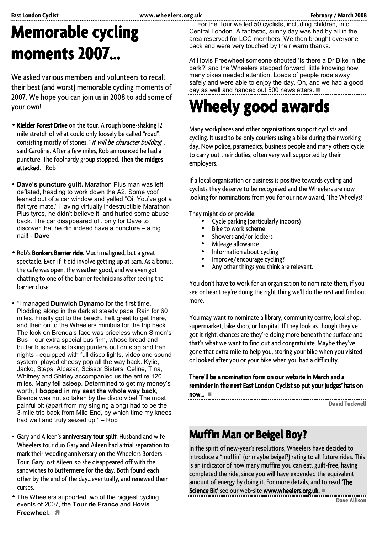# **Memorable cycling moments 2007… 2007…**

We asked various members and volunteers to recall their best (and worst) memorable cycling moments of 2007. We hope you can join us in 2008 to add some of your own!

- Kielder Forest Drive on the tour. A rough bone-shaking 12 mile stretch of what could only loosely be called "road", consisting mostly of stones. "It will be character building", said Caroline. After a few miles, Rob announced he had a puncture. The foolhardy group stopped. Then the midges attacked. - Rob
- **Dave's puncture guilt.** Marathon Plus man was left deflated, heading to work down the A2. Some yoof leaned out of a car window and yelled "Oi, You've got a flat tyre mate." Having virtually indestructible Marathon Plus tyres, he didn't believe it, and hurled some abuse back. The car disappeared off, only for Dave to discover that he did indeed have a puncture – a big nail! - **Dave**
- Rob's Bonkers Barrier ride. Much maligned, but a great spectacle. Even if it did involve getting up at 5am. As a bonus, the café was open, the weather good, and we even got chatting to one of the barrier technicians after seeing the barrier close.
- "I managed **Dunwich Dynamo** for the first time. Plodding along in the dark at steady pace. Rain for 60 miles. Finally got to the beach. Felt great to get there, and then on to the Wheelers minibus for the trip back. The look on Brenda's face was priceless when Simon's Bus – our extra special bus firm, whose bread and butter business is taking punters out on stag and hen nights - equipped with full disco lights, video and sound system, played cheesy pop all the way back. Kylie, Jacko, Steps, Alcazar, Scissor Sisters, Celine, Tina, Whitney and Shirley accompanied us the entire 120 miles. Many fell asleep. Determined to get my money's worth, **I bopped in my seat the whole way back**, Brenda was not so taken by the disco vibe! The most painful bit (apart from my singing along) had to be the 3-mile trip back from Mile End, by which time my knees had well and truly seized up!" – Rob
- Gary and Aileen's anniversary tour split. Husband and wife Wheelers tour duo Gary and Aileen had a trial separation to mark their wedding anniversary on the Wheelers Borders Tour. Gary lost Aileen, so she disappeared off with the sandwiches to Buttermere for the day. Both found each other by the end of the day...eventually, and renewed their curses.
- The Wheelers supported two of the biggest cycling events of 2007, the **Tour de France** and **Hovis Freewheel.**

East London Cyclist **East London Cyclist**<br>East the Teur we led 50 cyclists including children, into … For the Tour we led 50 cyclists, including children, into Central London. A fantastic, sunny day was had by all in the area reserved for LCC members. We then brought everyone back and were very touched by their warm thanks.

> At Hovis Freewheel someone shouted 'Is there a Dr Bike in the park?' and the Wheelers stepped forward, little knowing how many bikes needed attention. Loads of people rode away safely and were able to enjoy the day. Oh, and we had a good day as well and handed out 500 newsletters.  $\blacksquare$

# **Wheely good awards awards awards**

Many workplaces and other organisations support cyclists and cycling. It used to be only couriers using a bike during their working day. Now police, paramedics, business people and many others cycle to carry out their duties, often very well supported by their employers.

If a local organisation or business is positive towards cycling and cyclists they deserve to be recognised and the Wheelers are now looking for nominations from you for our new award, 'The Wheelys!'

They might do or provide:

- Cycle parking (particularly indoors)
- **Bike to work scheme**
- Showers and/or lockers
- 
- 
- 
- Mileage allowance<br>• Information about cycling<br>• Improve/encourage cycling?<br>• Any other things you think are relevant.

You don't have to work for an organisation to nominate them, if you see or hear they're doing the right thing we'll do the rest and find out more.

You may want to nominate a library, community centre, local shop, supermarket, bike shop, or hospital. If they look as though they've got it right, chances are they're doing more beneath the surface and that's what we want to find out and congratulate. Maybe they've gone that extra mile to help you, storing your bike when you visited or looked after you or your bike when you had a difficulty.

There'll be a nomination form on our website in March and a reminder in the next East London Cyclist so put your judges' hats on now...  $\blacksquare$ 

**David Tuckwell** 

## **Muffin Man or Beigel Boy?**

In the spirit of new-year's resolutions, Wheelers have decided to introduce a "muffin" (or maybe beigel?) rating to all future rides. This is an indicator of how many muffins you can eat, guilt-free, having completed the ride, since you will have expended the equivalent amount of energy by doing it. For more details, and to read 'The Science Bit' see our web-site www.wheelers.org.uk.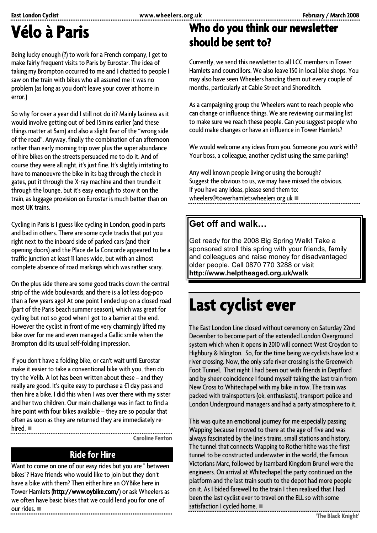## **Vélo à Paris Paris**

Being lucky enough (?) to work for a French company, I get to make fairly frequent visits to Paris by Eurostar. The idea of taking my Brompton occurred to me and I chatted to people I saw on the train with bikes who all assured me it was no problem (as long as you don't leave your cover at home in error.)

So why for over a year did I still not do it? Mainly laziness as it would involve getting out of bed 15mins earlier (and these things matter at 5am) and also a slight fear of the "wrong side of the road". Anyway, finally the combination of an afternoon rather than early morning trip over plus the super abundance of hire bikes on the streets persuaded me to do it. And of course they were all right, it's just fine. It's slightly irritating to have to manoeuvre the bike in its bag through the check in gates, put it through the X-ray machine and then trundle it through the lounge, but it's easy enough to stow it on the train, as luggage provision on Eurostar is much better than on most UK trains.

Cycling in Paris is I guess like cycling in London, good in parts and bad in others. There are some cycle tracks that put you right next to the inboard side of parked cars (and their opening doors) and the Place de la Concorde appeared to be a traffic junction at least 11 lanes wide, but with an almost complete absence of road markings which was rather scary.

On the plus side there are some good tracks down the central strip of the wide boulevards, and there is a lot less dog-poo than a few years ago! At one point I ended up on a closed road (part of the Paris beach summer season), which was great for cycling but not so good when I got to a barrier at the end. However the cyclist in front of me very charmingly lifted my bike over for me and even managed a Gallic smile when the Brompton did its usual self-folding impression.

If you don't have a folding bike, or can't wait until Eurostar make it easier to take a conventional bike with you, then do try the Velib. A lot has been written about these – and they really are good. It's quite easy to purchase a €1 day pass and then hire a bike. I did this when I was over there with my sister and her two children. Our main challenge was in fact to find a hire point with four bikes available – they are so popular that often as soon as they are returned they are immediately rehired.  $\blacksquare$ 

**Caroline Fenton** 

#### **Ride for Hire**

Want to come on one of our easy rides but you are " between bikes"? Have friends who would like to join but they don't have a bike with them? Then either hire an OYBike here in Tower Hamlets (http://www.oybike.com/) or ask Wheelers as we often have basic bikes that we could lend you for one of our rides.  $\blacksquare$ 

## **Who do you think our newsletter** should be sent to?

Currently, we send this newsletter to all LCC members in Tower Hamlets and councillors. We also leave 150 in local bike shops. You may also have seen Wheelers handing them out every couple of months, particularly at Cable Street and Shoreditch.

As a campaigning group the Wheelers want to reach people who can change or influence things. We are reviewing our mailing list to make sure we reach these people. Can you suggest people who could make changes or have an influence in Tower Hamlets?

We would welcome any ideas from you. Someone you work with? Your boss, a colleague, another cyclist using the same parking?

Any well known people living or using the borough? Suggest the obvious to us, we may have missed the obvious. If you have any ideas, please send them to: wheelers@towerhamletswheelers.org.uk  $\blacksquare$ 

#### **Get off and walk…**

Get ready for the 2008 Big Spring Walk! Take a sponsored stroll this spring with your friends, family and colleagues and raise money for disadvantaged older people. Call 0870 770 3288 or visit **http://www.helptheaged.org.uk/walk**

## **Last cyclist ever**

The East London Line closed without ceremony on Saturday 22nd December to become part of the extended London Overground system which when it opens in 2010 will connect West Croydon to Highbury & Islington. So, for the time being we cyclists have lost a river crossing. Now, the only safe river crossing is the Greenwich Foot Tunnel. That night I had been out with friends in Deptford and by sheer coincidence I found myself taking the last train from New Cross to Whitechapel with my bike in tow. The train was packed with trainspotters (ok, enthusiasts), transport police and London Underground managers and had a party atmosphere to it.

This was quite an emotional journey for me especially passing Wapping because I moved to there at the age of five and was always fascinated by the line's trains, small stations and history. The tunnel that connects Wapping to Rotherhithe was the first tunnel to be constructed underwater in the world, the famous Victorians Marc, followed by Isambard Kingdom Brunel were the engineers. On arrival at Whitechapel the party continued on the platform and the last train south to the depot had more people on it. As I bided farewell to the train I then realised that I had been the last cyclist ever to travel on the ELL so with some satisfaction I cycled home.  $\blacksquare$